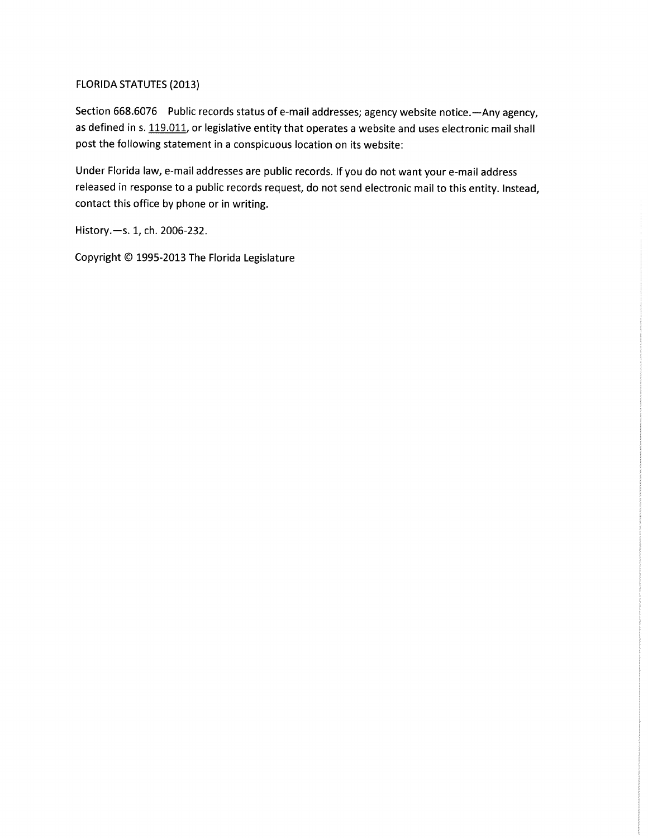## FLORIDA STATUTES (2013)

Section 668.6076 Public records status of e-mail addresses; agency website notice.—Any agency, as defined in s. 119.011, or legislative entity that operates a website and uses electronic mail shall post the following statement in a conspicuous location on its website:

Under Florida law, e-mail addresses are public records. If you do not want your e-mail address released in response to a public records request, do not send electronic mail to this entity. Instead, contact this office by phone or in writing.

History.-s. 1, ch. 2006-232.

Copyright © 1995-2013 The Florida Legislature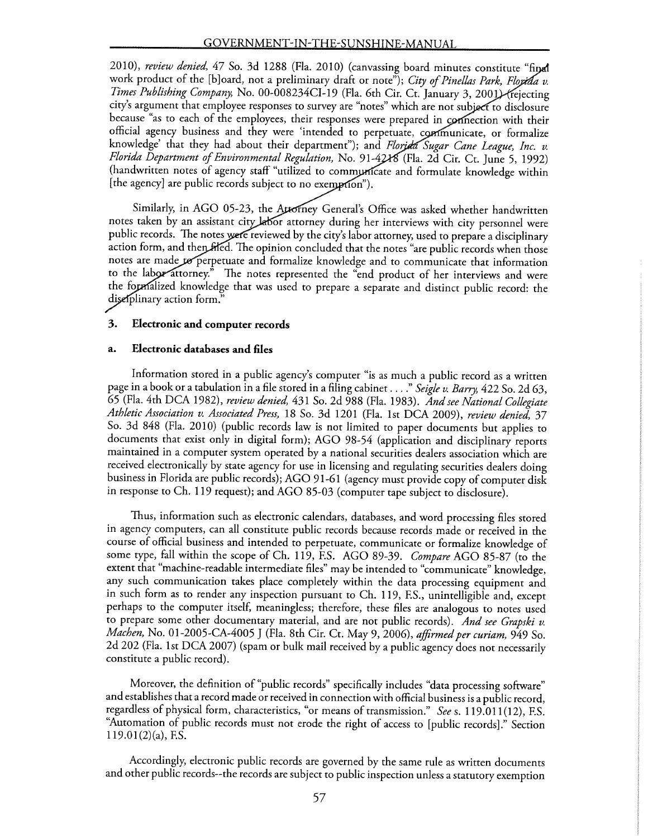2010), review denied, 47 So. 3d 1288 (Fla. 2010) (canvassing board minutes constitute "final work product of the [b]oard, not a preliminary draft or note"); City of Pinellas Park, Floyida v. Times Publishing Company, No. 00-008234CI-19 (Fla. 6th Cir. Ct. January 3, 2001) (rejecting city's argument that employee responses to survey are "notes" which are not subject to disclosure because "as to each of the employees, their responses were prepared in connection with their official agency business and they were 'intended to perpetuate, communicate, or formalize knowledge' that they had about their department"); and Florja Sugar Cane League, Inc. v. Florida Department of Environmental Regulation, No. 91-4218 (Fla. 2d Cir. Ct. June 5, 1992) (handwritten notes of agency staff "utilized to communicate and formulate knowledge within [the agency] are public records subject to no exemption").

Similarly, in AGO 05-23, the Attorney General's Office was asked whether handwritten notes taken by an assistant city labor attorney during her interviews with city personnel were public records. The notes were reviewed by the city's labor attorney, used to prepare a disciplinary action form, and then fited. The opinion concluded that the notes "are public records when those notes are made to perpetuate and formalize knowledge and to communicate that information to the labor attorney." The notes represented the "end product of her interviews and were the foprfalized knowledge that was used to prepare a separate and distinct public record: the diselplinary action form."

### 3. Electronic and computer records

### a. Electronic databases and files

Information stored in a public agency's computer "is as much a public record as a written page in a book or a tabulation in a file stored in a filing cabinet . . . ." Seigle v. Barry, 422 So. 2d 63, 65 (Fla. 4th DCA 1982), review denied, 431 So. 2d 988 (Fla. 1983). And see National Collegiate Athletic Association v. Associated Press, 18 So. 3d 1201 (Fla. 1st DCA 2009), review denied, 37 So. 3d 848 (Fla. 2010) (public records law is not limited to paper documents but applies to documents that exist only in digital form); AGO 98-54 (application and disciplinary reports maintained in a computer system operated by a national securities dealers association which are received electronically by state agency for use in licensing and regulating securities dealers doing business in Florida are public records); AGO 91-61 (agency must provide copy of computer disk in response to Ch. 119 request); and AGO 85-03 (computer tape subject to disclosure).

Thus, information such as electronic calendars, databases, and word processing files stored in agency computers, can all constitute public records because records made or received in the course of official business and intended to perpetuate, communicate or formalize knowledge of some type, fall within the scope of Ch. 119, F.S. AGO 89-39. Compare AGO 85-87 (to the extent that "machine-readable intermediate files" may be intended to "communicate" knowledge, any such communication takes place completely within the data processing equipment and in such form as to render any inspection pursuant to Ch. 119, F.S., unintelligible and, except perhaps to the computer itself, meaningless; therefore, these files are analogous to notes used to prepare some other documentary material, and are not public records). And see Grapski v. Machen, No. 01-2005-CA-4005 J (Fla. 8th Cir. Ct. May 9, 2006), affirmed per curiam, 949 So. 2d 202 (Fla. 1st DCA 2007) (spam or bulk mail received by a public agency does not necessarily constitute a public record).

Moreover, the definition of "public records" specifically includes "data processing software" and establishes that a record made or received in connection with official business is a public record, regardless of physical form, characteristics, "or means of transmission." See s. 119.011(12), F.S. Automation of public records must not erode the right of access to [public records]." Section  $119.01(2)(a)$ , F.S.

Accordingly, electronic public records are governed by the same rule as written documents and other public records--the records are subject to public inspection unless a statutory exemption